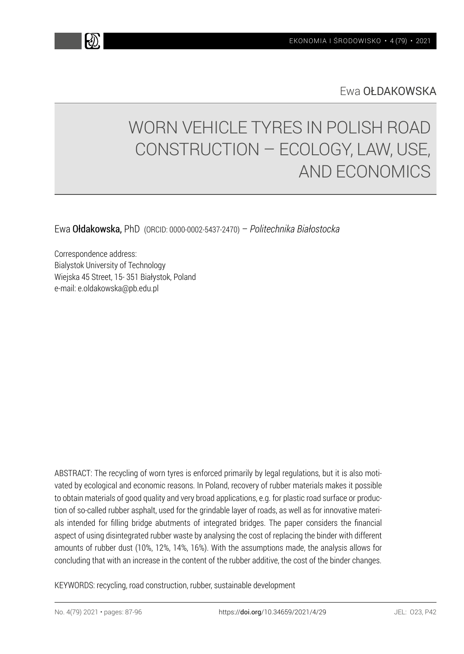Ewa OŁDAKOWSKA

# WORN VEHICLE TYRES IN POLISH ROAD CONSTRUCTION – ECOLOGY, LAW, USE, AND ECONOMICS

Ewa Ołdakowska, PhD (ORCID: 0000-0002-5437-2470) – *Politechnika Białostocka* 

Correspondence address: Bialystok University of Technology Wiejska 45 Street, 15- 351 Białystok, Poland e-mail: e.oldakowska@pb.edu.pl

ABSTRACT: The recycling of worn tyres is enforced primarily by legal regulations, but it is also motivated by ecological and economic reasons. In Poland, recovery of rubber materials makes it possible to obtain materials of good quality and very broad applications, e.g. for plastic road surface or production of so-called rubber asphalt, used for the grindable layer of roads, as well as for innovative materials intended for filling bridge abutments of integrated bridges. The paper considers the financial aspect of using disintegrated rubber waste by analysing the cost of replacing the binder with different amounts of rubber dust (10%, 12%, 14%, 16%). With the assumptions made, the analysis allows for concluding that with an increase in the content of the rubber additive, the cost of the binder changes.

KEYWORDS: recycling, road construction, rubber, sustainable development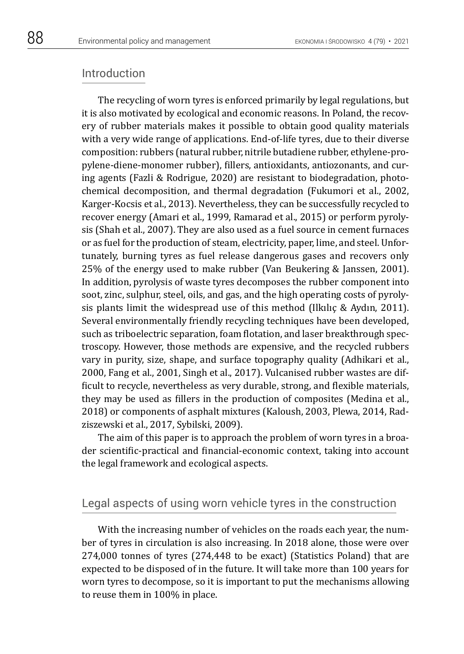#### Introduction

The recycling of worn tyres is enforced primarily by legal regulations, but it is also motivated by ecological and economic reasons. In Poland, the recovery of rubber materials makes it possible to obtain good quality materials with a very wide range of applications. End-of-life tyres, due to their diverse composition: rubbers (natural rubber, nitrile butadiene rubber, ethylene-propylene-diene-monomer rubber), fillers, antioxidants, antiozonants, and curing agents (Fazli & Rodrigue, 2020) are resistant to biodegradation, photochemical decomposition, and thermal degradation (Fukumori et al., 2002, Karger-Kocsis et al., 2013). Nevertheless, they can be successfully recycled to recover energy (Amari et al., 1999, Ramarad et al., 2015) or perform pyrolysis (Shah et al., 2007). They are also used as a fuel source in cement furnaces or as fuel for the production of steam, electricity, paper, lime, and steel. Unfortunately, burning tyres as fuel release dangerous gases and recovers only 25% of the energy used to make rubber (Van Beukering & Janssen, 2001). In addition, pyrolysis of waste tyres decomposes the rubber component into soot, zinc, sulphur, steel, oils, and gas, and the high operating costs of pyrolysis plants limit the widespread use of this method (Ilkılıç & Aydın, 2011). Several environmentally friendly recycling techniques have been developed, such as triboelectric separation, foam flotation, and laser breakthrough spectroscopy. However, those methods are expensive, and the recycled rubbers vary in purity, size, shape, and surface topography quality (Adhikari et al., 2000, Fang et al., 2001, Singh et al., 2017). Vulcanised rubber wastes are difficult to recycle, nevertheless as very durable, strong, and flexible materials, they may be used as fillers in the production of composites (Medina et al., 2018) or components of asphalt mixtures (Kaloush, 2003, Plewa, 2014, Radziszewski et al., 2017, Sybilski, 2009).

The aim of this paper is to approach the problem of worn tyres in a broader scientific-practical and financial-economic context, taking into account the legal framework and ecological aspects.

## Legal aspects of using worn vehicle tyres in the construction

With the increasing number of vehicles on the roads each year, the number of tyres in circulation is also increasing. In 2018 alone, those were over 274,000 tonnes of tyres (274,448 to be exact) (Statistics Poland) that are expected to be disposed of in the future. It will take more than 100 years for worn tyres to decompose, so it is important to put the mechanisms allowing to reuse them in 100% in place.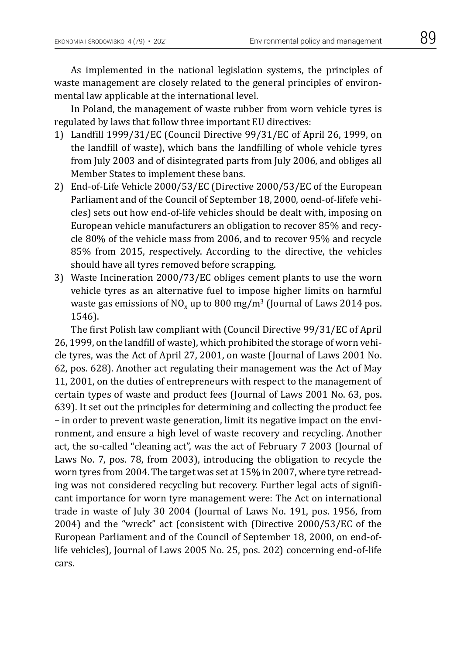As implemented in the national legislation systems, the principles of waste management are closely related to the general principles of environmental law applicable at the international level.

In Poland, the management of waste rubber from worn vehicle tyres is regulated by laws that follow three important EU directives:

- 1) Landfill 1999/31/EC (Council Directive 99/31/EC of April 26, 1999, on the landfill of waste), which bans the landfilling of whole vehicle tyres from July 2003 and of disintegrated parts from July 2006, and obliges all Member States to implement these bans.
- 2) End-of-Life Vehicle 2000/53/EC (Directive 2000/53/EC of the European Parliament and of the Council of September 18, 2000, oend-of-lifefe vehicles) sets out how end-of-life vehicles should be dealt with, imposing on European vehicle manufacturers an obligation to recover 85% and recycle 80% of the vehicle mass from 2006, and to recover 95% and recycle 85% from 2015, respectively. According to the directive, the vehicles should have all tyres removed before scrapping.
- 3) Waste Incineration 2000/73/EC obliges cement plants to use the worn vehicle tyres as an alternative fuel to impose higher limits on harmful waste gas emissions of  $NO<sub>x</sub>$  up to 800 mg/m<sup>3</sup> (Journal of Laws 2014 pos. 1546).

The first Polish law compliant with (Council Directive 99/31/EC of April 26, 1999, on the landfill of waste), which prohibited the storage of worn vehicle tyres, was the Act of April 27, 2001, on waste (Journal of Laws 2001 No. 62, pos. 628). Another act regulating their management was the Act of May 11, 2001, on the duties of entrepreneurs with respect to the management of certain types of waste and product fees (Journal of Laws 2001 No. 63, pos. 639). It set out the principles for determining and collecting the product fee – in order to prevent waste generation, limit its negative impact on the environment, and ensure a high level of waste recovery and recycling. Another act, the so-called "cleaning act", was the act of February 7 2003 (Journal of Laws No. 7, pos. 78, from 2003), introducing the obligation to recycle the worn tyres from 2004. The target was set at 15% in 2007, where tyre retreading was not considered recycling but recovery. Further legal acts of significant importance for worn tyre management were: The Act on international trade in waste of July 30 2004 (Journal of Laws No. 191, pos. 1956, from 2004) and the "wreck" act (consistent with (Directive 2000/53/EC of the European Parliament and of the Council of September 18, 2000, on end-oflife vehicles), Journal of Laws 2005 No. 25, pos. 202) concerning end-of-life cars.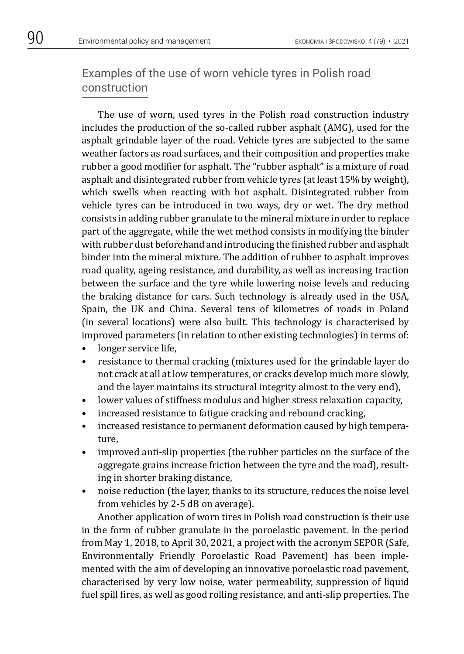## Examples of the use of worn vehicle tyres in Polish road construction

The use of worn, used tyres in the Polish road construction industry includes the production of the so-called rubber asphalt (AMG), used for the asphalt grindable layer of the road. Vehicle tyres are subjected to the same weather factors as road surfaces, and their composition and properties make rubber a good modifier for asphalt. The "rubber asphalt" is a mixture of road asphalt and disintegrated rubber from vehicle tyres (at least 15% by weight), which swells when reacting with hot asphalt. Disintegrated rubber from vehicle tyres can be introduced in two ways, dry or wet. The dry method consists in adding rubber granulate to the mineral mixture in order to replace part of the aggregate, while the wet method consists in modifying the binder with rubber dust beforehand and introducing the finished rubber and asphalt binder into the mineral mixture. The addition of rubber to asphalt improves road quality, ageing resistance, and durability, as well as increasing traction between the surface and the tyre while lowering noise levels and reducing the braking distance for cars. Such technology is already used in the USA, Spain, the UK and China. Several tens of kilometres of roads in Poland (in several locations) were also built. This technology is characterised by improved parameters (in relation to other existing technologies) in terms of:

- longer service life.
- resistance to thermal cracking (mixtures used for the grindable layer do not crack at all at low temperatures, or cracks develop much more slowly, and the layer maintains its structural integrity almost to the very end),
- lower values of stiffness modulus and higher stress relaxation capacity,
- increased resistance to fatigue cracking and rebound cracking,
- increased resistance to permanent deformation caused by high temperature,
- improved anti-slip properties (the rubber particles on the surface of the aggregate grains increase friction between the tyre and the road), resulting in shorter braking distance,
- noise reduction (the layer, thanks to its structure, reduces the noise level from vehicles by 2-5 dB on average).

Another application of worn tires in Polish road construction is their use in the form of rubber granulate in the poroelastic pavement. In the period from May 1, 2018, to April 30, 2021, a project with the acronym SEPOR (Safe, Environmentally Friendly Poroelastic Road Pavement) has been implemented with the aim of developing an innovative poroelastic road pavement, characterised by very low noise, water permeability, suppression of liquid fuel spill fires, as well as good rolling resistance, and anti-slip properties. The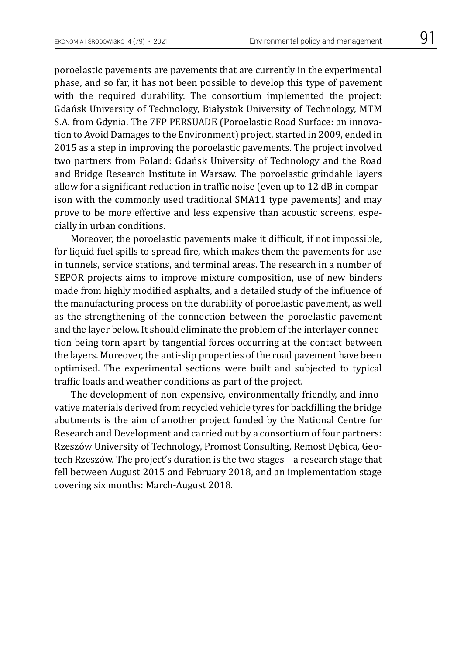poroelastic pavements are pavements that are currently in the experimental phase, and so far, it has not been possible to develop this type of pavement with the required durability. The consortium implemented the project: Gdańsk University of Technology, Białystok University of Technology, MTM S.A. from Gdynia. The 7FP PERSUADE (Poroelastic Road Surface: an innovation to Avoid Damages to the Environment) project, started in 2009, ended in 2015 as a step in improving the poroelastic pavements. The project involved two partners from Poland: Gdańsk University of Technology and the Road and Bridge Research Institute in Warsaw. The poroelastic grindable layers allow for a significant reduction in traffic noise (even up to 12 dB in comparison with the commonly used traditional SMA11 type pavements) and may prove to be more effective and less expensive than acoustic screens, especially in urban conditions.

Moreover, the poroelastic pavements make it difficult, if not impossible, for liquid fuel spills to spread fire, which makes them the pavements for use in tunnels, service stations, and terminal areas. The research in a number of SEPOR projects aims to improve mixture composition, use of new binders made from highly modified asphalts, and a detailed study of the influence of the manufacturing process on the durability of poroelastic pavement, as well as the strengthening of the connection between the poroelastic pavement and the layer below. It should eliminate the problem of the interlayer connection being torn apart by tangential forces occurring at the contact between the layers. Moreover, the anti-slip properties of the road pavement have been optimised. The experimental sections were built and subjected to typical traffic loads and weather conditions as part of the project.

The development of non-expensive, environmentally friendly, and innovative materials derived from recycled vehicle tyres for backfilling the bridge abutments is the aim of another project funded by the National Centre for Research and Development and carried out by a consortium of four partners: Rzeszów University of Technology, Promost Consulting, Remost Dębica, Geotech Rzeszów. The project's duration is the two stages – a research stage that fell between August 2015 and February 2018, and an implementation stage covering six months: March-August 2018.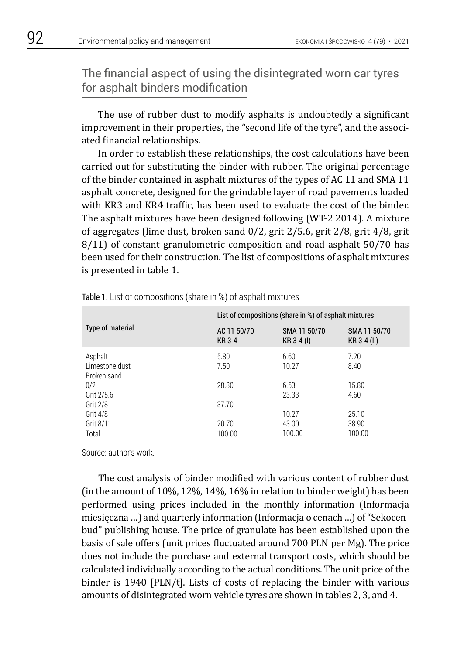## The financial aspect of using the disintegrated worn car tyres for asphalt binders modification

The use of rubber dust to modify asphalts is undoubtedly a significant improvement in their properties, the "second life of the tyre", and the associated financial relationships.

In order to establish these relationships, the cost calculations have been carried out for substituting the binder with rubber. The original percentage of the binder contained in asphalt mixtures of the types of AC 11 and SMA 11 asphalt concrete, designed for the grindable layer of road pavements loaded with KR3 and KR4 traffic, has been used to evaluate the cost of the binder. The asphalt mixtures have been designed following (WT-2 2014). A mixture of aggregates (lime dust, broken sand 0/2, grit 2/5.6, grit 2/8, grit 4/8, grit 8/11) of constant granulometric composition and road asphalt 50/70 has been used for their construction. The list of compositions of asphalt mixtures is presented in table 1.

|                                          | List of compositions (share in %) of asphalt mixtures       |               |                             |  |
|------------------------------------------|-------------------------------------------------------------|---------------|-----------------------------|--|
| Type of material                         | AC 11 50/70<br>SMA 11 50/70<br><b>KR3-4</b><br>$KR 3-4 (I)$ |               | SMA 11 50/70<br>KR 3-4 (II) |  |
| Asphalt<br>Limestone dust<br>Broken sand | 5.80<br>7.50                                                | 6.60<br>10.27 | 7.20<br>8.40                |  |
| 0/2<br>Grit 2/5.6                        | 28.30                                                       | 6.53<br>23.33 | 15.80<br>4.60               |  |
| <b>Grit 2/8</b><br>Grit 4/8              | 37.70                                                       | 10.27         | 25.10                       |  |
| Grit 8/11                                | 20.70                                                       | 43.00         | 38.90                       |  |
| Total                                    | 100.00                                                      | 100.00        | 100.00                      |  |

Table 1. List of compositions (share in %) of asphalt mixtures

Source: author's work.

The cost analysis of binder modified with various content of rubber dust (in the amount of 10%, 12%, 14%, 16% in relation to binder weight) has been performed using prices included in the monthly information (Informacja miesięczna …) and quarterly information (Informacja o cenach …) of "Sekocenbud" publishing house. The price of granulate has been established upon the basis of sale offers (unit prices fluctuated around 700 PLN per Mg). The price does not include the purchase and external transport costs, which should be calculated individually according to the actual conditions. The unit price of the binder is 1940 [PLN/t]. Lists of costs of replacing the binder with various amounts of disintegrated worn vehicle tyres are shown in tables 2, 3, and 4.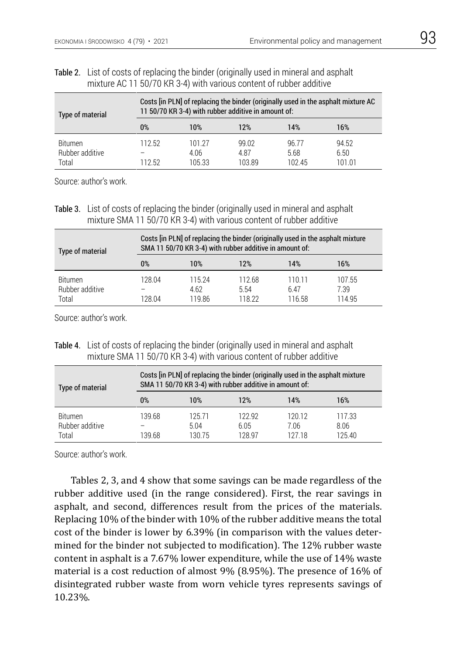#### Table 2. List of costs of replacing the binder (originally used in mineral and asphalt mixture AC 11 50/70 KR 3-4) with various content of rubber additive

| Type of material                           | Costs [in PLN] of replacing the binder (originally used in the asphalt mixture AC<br>11 50/70 KR 3-4) with rubber additive in amount of: |                          |                         |                        |                         |
|--------------------------------------------|------------------------------------------------------------------------------------------------------------------------------------------|--------------------------|-------------------------|------------------------|-------------------------|
|                                            | $0\%$                                                                                                                                    | 10%                      | 12%                     | 14%                    | 16%                     |
| <b>Bitumen</b><br>Rubber additive<br>Total | 112.52<br>112.52                                                                                                                         | 101 27<br>4.06<br>105.33 | 99.02<br>4.87<br>103.89 | 96.77<br>5.68<br>10245 | 94.52<br>6.50<br>101.01 |

Source: author's work.

Table 3. List of costs of replacing the binder (originally used in mineral and asphalt mixture SMA 11 50/70 KR 3-4) with various content of rubber additive

| Type of material                           | Costs [in PLN] of replacing the binder (originally used in the asphalt mixture<br>SMA 11 50/70 KR 3-4) with rubber additive in amount of: |                         |                          |                          |                          |
|--------------------------------------------|-------------------------------------------------------------------------------------------------------------------------------------------|-------------------------|--------------------------|--------------------------|--------------------------|
|                                            | $0\%$                                                                                                                                     | 10%                     | 12%                      | 14%                      | 16%                      |
| <b>Bitumen</b><br>Rubber additive<br>Total | 128.04<br>128 04                                                                                                                          | 115 24<br>4.62<br>11986 | 112.68<br>5.54<br>118.22 | 110 11<br>6.47<br>116.58 | 107.55<br>7.39<br>114 95 |

Source: author's work.

Table 4. List of costs of replacing the binder (originally used in mineral and asphalt mixture SMA 11 50/70 KR 3-4) with various content of rubber additive

| Type of material                           | Costs [in PLN] of replacing the binder (originally used in the asphalt mixture<br>SMA 11 50/70 KR 3-4) with rubber additive in amount of: |                         |                          |                         |                          |
|--------------------------------------------|-------------------------------------------------------------------------------------------------------------------------------------------|-------------------------|--------------------------|-------------------------|--------------------------|
|                                            | $0\%$                                                                                                                                     | 10%                     | 12%                      | 14%                     | 16%                      |
| <b>Bitumen</b><br>Rubber additive<br>Total | 139.68<br>139.68                                                                                                                          | 12571<br>5.04<br>130.75 | 122 92<br>6.05<br>128.97 | 120.12<br>7.06<br>12718 | 117.33<br>8.06<br>125.40 |

Source: author's work.

Tables 2, 3, and 4 show that some savings can be made regardless of the rubber additive used (in the range considered). First, the rear savings in asphalt, and second, differences result from the prices of the materials. Replacing 10% of the binder with 10% of the rubber additive means the total cost of the binder is lower by 6.39% (in comparison with the values determined for the binder not subjected to modification). The 12% rubber waste content in asphalt is a 7.67% lower expenditure, while the use of 14% waste material is a cost reduction of almost 9% (8.95%). The presence of 16% of disintegrated rubber waste from worn vehicle tyres represents savings of 10.23%.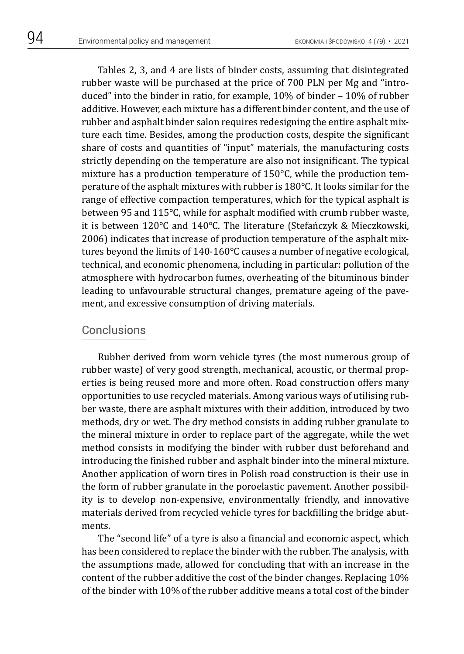Tables 2, 3, and 4 are lists of binder costs, assuming that disintegrated rubber waste will be purchased at the price of 700 PLN per Mg and "introduced" into the binder in ratio, for example, 10% of binder – 10% of rubber additive. However, each mixture has a different binder content, and the use of rubber and asphalt binder salon requires redesigning the entire asphalt mixture each time. Besides, among the production costs, despite the significant share of costs and quantities of "input" materials, the manufacturing costs strictly depending on the temperature are also not insignificant. The typical mixture has a production temperature of 150°C, while the production temperature of the asphalt mixtures with rubber is 180°C. It looks similar for the range of effective compaction temperatures, which for the typical asphalt is between 95 and 115°C, while for asphalt modified with crumb rubber waste, it is between 120°C and 140°C. The literature (Stefańczyk & Mieczkowski, 2006) indicates that increase of production temperature of the asphalt mixtures beyond the limits of 140-160°C causes a number of negative ecological, technical, and economic phenomena, including in particular: pollution of the atmosphere with hydrocarbon fumes, overheating of the bituminous binder leading to unfavourable structural changes, premature ageing of the pavement, and excessive consumption of driving materials.

#### Conclusions

Rubber derived from worn vehicle tyres (the most numerous group of rubber waste) of very good strength, mechanical, acoustic, or thermal properties is being reused more and more often. Road construction offers many opportunities to use recycled materials. Among various ways of utilising rubber waste, there are asphalt mixtures with their addition, introduced by two methods, dry or wet. The dry method consists in adding rubber granulate to the mineral mixture in order to replace part of the aggregate, while the wet method consists in modifying the binder with rubber dust beforehand and introducing the finished rubber and asphalt binder into the mineral mixture. Another application of worn tires in Polish road construction is their use in the form of rubber granulate in the poroelastic pavement. Another possibility is to develop non-expensive, environmentally friendly, and innovative materials derived from recycled vehicle tyres for backfilling the bridge abutments.

The "second life" of a tyre is also a financial and economic aspect, which has been considered to replace the binder with the rubber. The analysis, with the assumptions made, allowed for concluding that with an increase in the content of the rubber additive the cost of the binder changes. Replacing 10% of the binder with 10% of the rubber additive means a total cost of the binder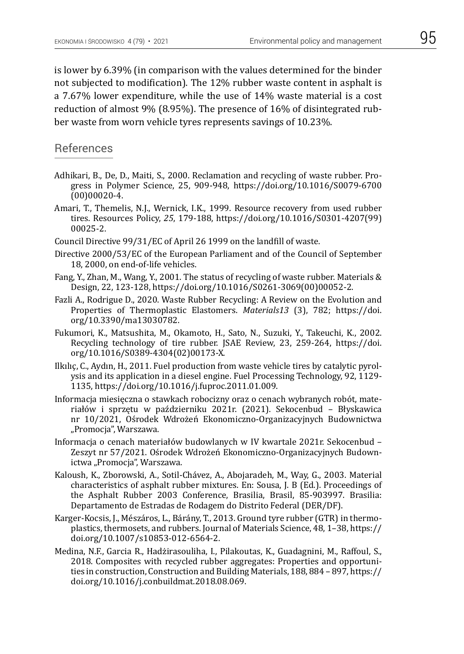is lower by 6.39% (in comparison with the values determined for the binder not subjected to modification). The 12% rubber waste content in asphalt is a 7.67% lower expenditure, while the use of 14% waste material is a cost reduction of almost 9% (8.95%). The presence of 16% of disintegrated rubber waste from worn vehicle tyres represents savings of 10.23%.

### References

- Adhikari, B., De, D., Maiti, S., 2000. Reclamation and recycling of waste rubber. Progress in Polymer Science, 25, 909-948, https://doi.org/10.1016/S0079-6700 (00)00020-4.
- Amari, T., Themelis, N.J., Wernick, I.K., 1999. Resource recovery from used rubber tires. Resources Policy, *25*, 179-188, https://doi.org/10.1016/S0301-4207(99) 00025-2.
- Council Directive 99/31/EC of April 26 1999 on the landfill of waste.
- Directive 2000/53/EC of the European Parliament and of the Council of September 18, 2000, on end-of-life vehicles.
- Fang, Y., Zhan, M., Wang, Y., 2001. The status of recycling of waste rubber. Materials & Design, 22, 123-128, https://doi.org/10.1016/S0261-3069(00)00052-2.
- Fazli A., Rodrigue D., 2020. Waste Rubber Recycling: A Review on the Evolution and Properties of Thermoplastic Elastomers. *Materials13* (3), 782; https://doi. org/10.3390/ma13030782.
- Fukumori, K., Matsushita, M., Okamoto, H., Sato, N., Suzuki, Y., Takeuchi, K., 2002. Recycling technology of tire rubber. JSAE Review, 23, 259-264, https://doi. org/10.1016/S0389-4304(02)00173-X.
- Ilkılıç, C., Aydın, H., 2011. Fuel production from waste vehicle tires by catalytic pyrolysis and its application in a diesel engine. Fuel Processing Technology, 92, 1129- 1135, https://doi.org/10.1016/j.fuproc.2011.01.009.
- Informacja miesięczna o stawkach robocizny oraz o cenach wybranych robót, materiałów i sprzętu w październiku 2021r. (2021). Sekocenbud – Błyskawica nr 10/2021, Ośrodek Wdrożeń Ekonomiczno-Organizacyjnych Budownictwa "Promocja", Warszawa.
- Informacja o cenach materiałów budowlanych w IV kwartale 2021r. Sekocenbud Zeszyt nr 57/2021. Ośrodek Wdrożeń Ekonomiczno-Organizacyjnych Budownictwa "Promocja", Warszawa.
- Kaloush, K., Zborowski, A., Sotil-Chávez, A., Abojaradeh, M., Way, G., 2003. Material characteristics of asphalt rubber mixtures. En: Sousa, J. B (Ed.). Proceedings of the Asphalt Rubber 2003 Conference, Brasilia, Brasil, 85-903997. Brasilia: Departamento de Estradas de Rodagem do Distrito Federal (DER/DF).
- Karger-Kocsis, J., Mészáros, L., Bárány, T., 2013. Ground tyre rubber (GTR) in thermoplastics, thermosets, and rubbers. Journal of Materials Science, 48, 1–38, https:// doi.org/10.1007/s10853-012-6564-2.
- Medina, N.F., Garcia R., Hadżirasouliha, I., Pilakoutas, K., Guadagnini, M., Raffoul, S., 2018. Composites with recycled rubber aggregates: Properties and opportunities in construction, Construction and Building Materials, 188, 884 – 897, https:// doi.org/10.1016/j.conbuildmat.2018.08.069.